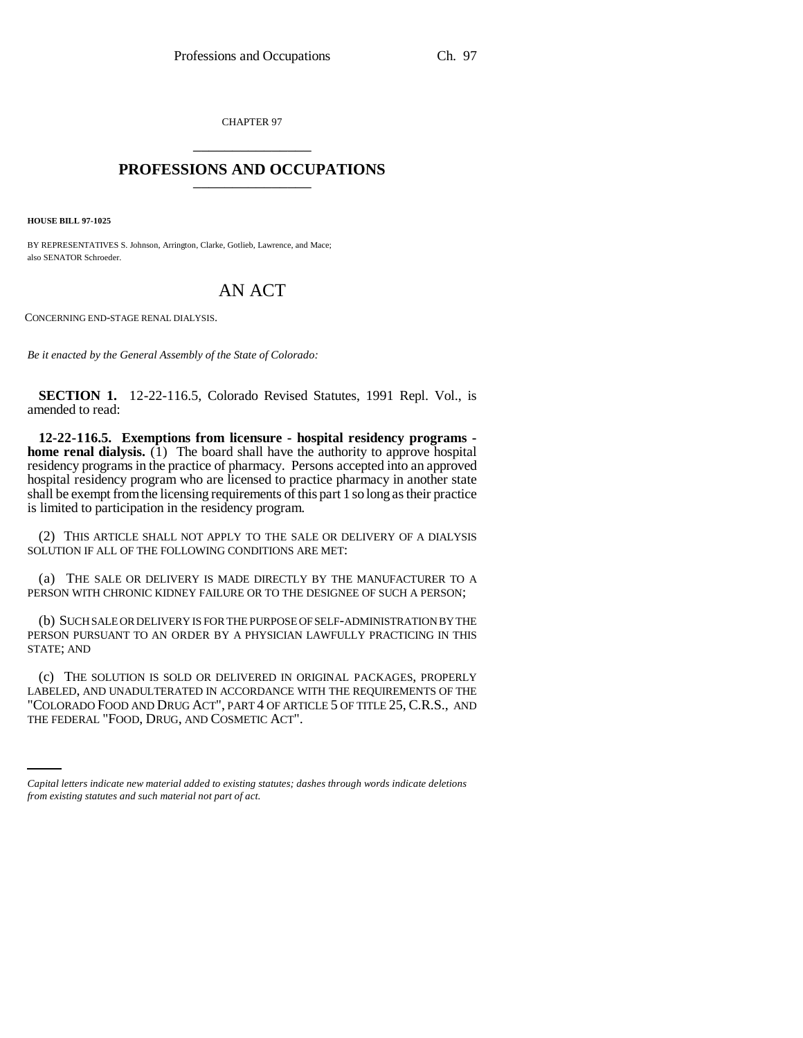CHAPTER 97 \_\_\_\_\_\_\_\_\_\_\_\_\_\_\_

## **PROFESSIONS AND OCCUPATIONS** \_\_\_\_\_\_\_\_\_\_\_\_\_\_\_

**HOUSE BILL 97-1025**

BY REPRESENTATIVES S. Johnson, Arrington, Clarke, Gotlieb, Lawrence, and Mace; also SENATOR Schroeder.

## AN ACT

CONCERNING END-STAGE RENAL DIALYSIS.

*Be it enacted by the General Assembly of the State of Colorado:*

**SECTION 1.** 12-22-116.5, Colorado Revised Statutes, 1991 Repl. Vol., is amended to read:

**12-22-116.5. Exemptions from licensure - hospital residency programs home renal dialysis.**  $(1)$  The board shall have the authority to approve hospital residency programs in the practice of pharmacy. Persons accepted into an approved hospital residency program who are licensed to practice pharmacy in another state shall be exempt from the licensing requirements of this part 1 so long as their practice is limited to participation in the residency program.

(2) THIS ARTICLE SHALL NOT APPLY TO THE SALE OR DELIVERY OF A DIALYSIS SOLUTION IF ALL OF THE FOLLOWING CONDITIONS ARE MET:

(a) THE SALE OR DELIVERY IS MADE DIRECTLY BY THE MANUFACTURER TO A PERSON WITH CHRONIC KIDNEY FAILURE OR TO THE DESIGNEE OF SUCH A PERSON;

(b) SUCH SALE OR DELIVERY IS FOR THE PURPOSE OF SELF-ADMINISTRATION BY THE PERSON PURSUANT TO AN ORDER BY A PHYSICIAN LAWFULLY PRACTICING IN THIS STATE; AND

"COLORADO FOOD AND DRUG ACT", PART 4 OF ARTICLE 5 OF TITLE 25, C.R.S., AND (c) THE SOLUTION IS SOLD OR DELIVERED IN ORIGINAL PACKAGES, PROPERLY LABELED, AND UNADULTERATED IN ACCORDANCE WITH THE REQUIREMENTS OF THE THE FEDERAL "FOOD, DRUG, AND COSMETIC ACT".

*Capital letters indicate new material added to existing statutes; dashes through words indicate deletions from existing statutes and such material not part of act.*